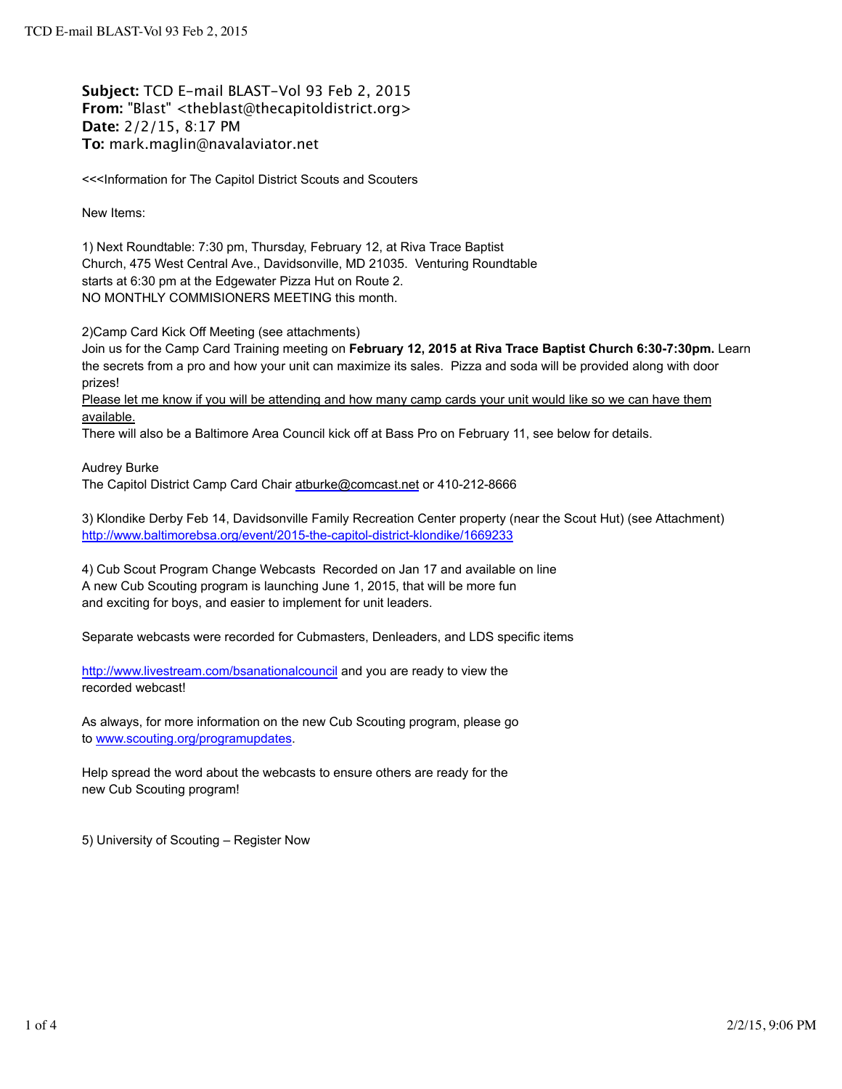**Subject:** TCD E-mail BLAST-Vol 93 Feb 2, 2015 **From:** "Blast" <theblast@thecapitoldistrict.org> **Date:** 2/2/15, 8:17 PM **To:** mark.maglin@navalaviator.net

<<<Information for The Capitol District Scouts and Scouters

New Items:

1) Next Roundtable: 7:30 pm, Thursday, February 12, at Riva Trace Baptist Church, 475 West Central Ave., Davidsonville, MD 21035. Venturing Roundtable starts at 6:30 pm at the Edgewater Pizza Hut on Route 2. NO MONTHLY COMMISIONERS MEETING this month.

2)Camp Card Kick Off Meeting (see attachments)

Join us for the Camp Card Training meeting on **February 12, 2015 at Riva Trace Baptist Church 6:30-7:30pm.** Learn the secrets from a pro and how your unit can maximize its sales. Pizza and soda will be provided along with door prizes!

Please let me know if you will be attending and how many camp cards your unit would like so we can have them available.

There will also be a Baltimore Area Council kick off at Bass Pro on February 11, see below for details.

Audrey Burke

The Capitol District Camp Card Chair atburke@comcast.net or 410-212-8666

3) Klondike Derby Feb 14, Davidsonville Family Recreation Center property (near the Scout Hut) (see Attachment) http://www.baltimorebsa.org/event/2015-the-capitol-district-klondike/1669233

4) Cub Scout Program Change Webcasts Recorded on Jan 17 and available on line A new Cub Scouting program is launching June 1, 2015, that will be more fun and exciting for boys, and easier to implement for unit leaders.

Separate webcasts were recorded for Cubmasters, Denleaders, and LDS specific items

http://www.livestream.com/bsanationalcouncil and you are ready to view the recorded webcast!

As always, for more information on the new Cub Scouting program, please go to www.scouting.org/programupdates.

Help spread the word about the webcasts to ensure others are ready for the new Cub Scouting program!

5) University of Scouting – Register Now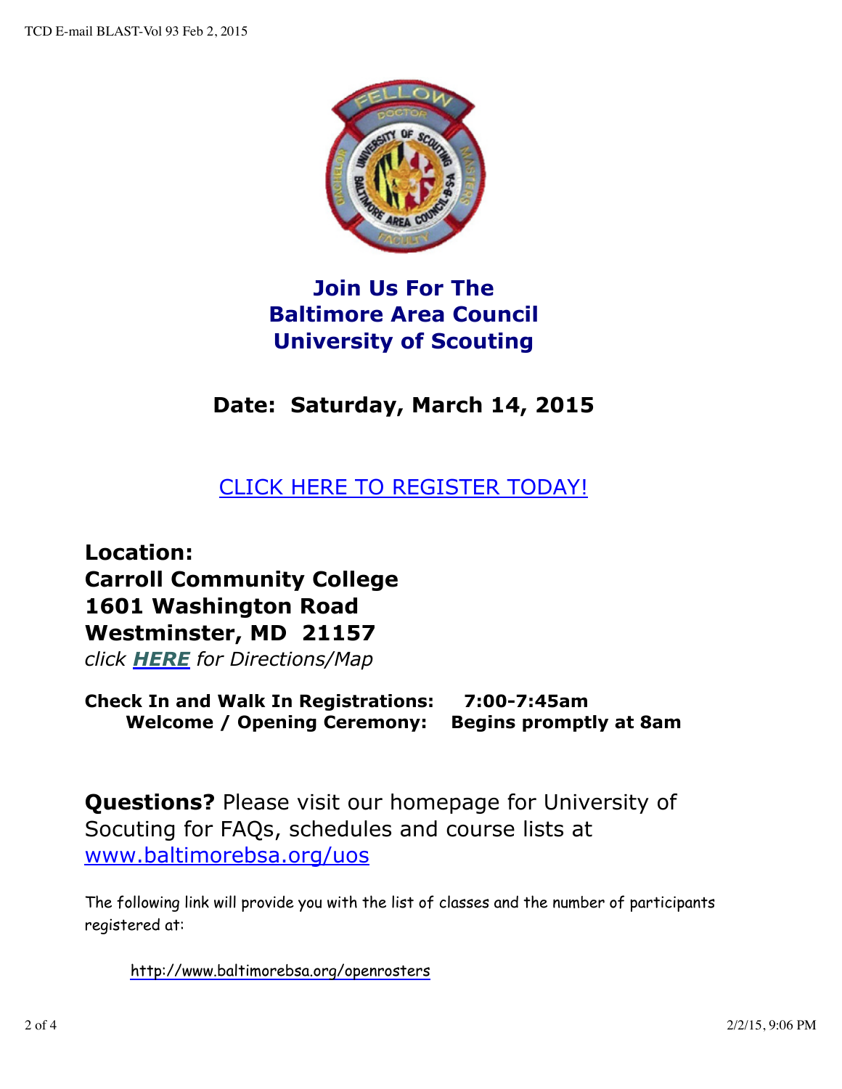

## **Join Us For The Baltimore Area Council University of Scouting**

# **Date: Saturday, March 14, 2015**

### CLICK HERE TO REGISTER TODAY!

**Location: Carroll Community College 1601 Washington Road Westminster, MD 21157**

*click HERE for Directions/Map*

**Check In and Walk In Registrations: 7:00-7:45am Welcome / Opening Ceremony: Begins promptly at 8am**

**Questions?** Please visit our homepage for University of Socuting for FAQs, schedules and course lists at www.baltimorebsa.org/uos

The following link will provide you with the list of classes and the number of participants registered at:

http://www.baltimorebsa.org/openrosters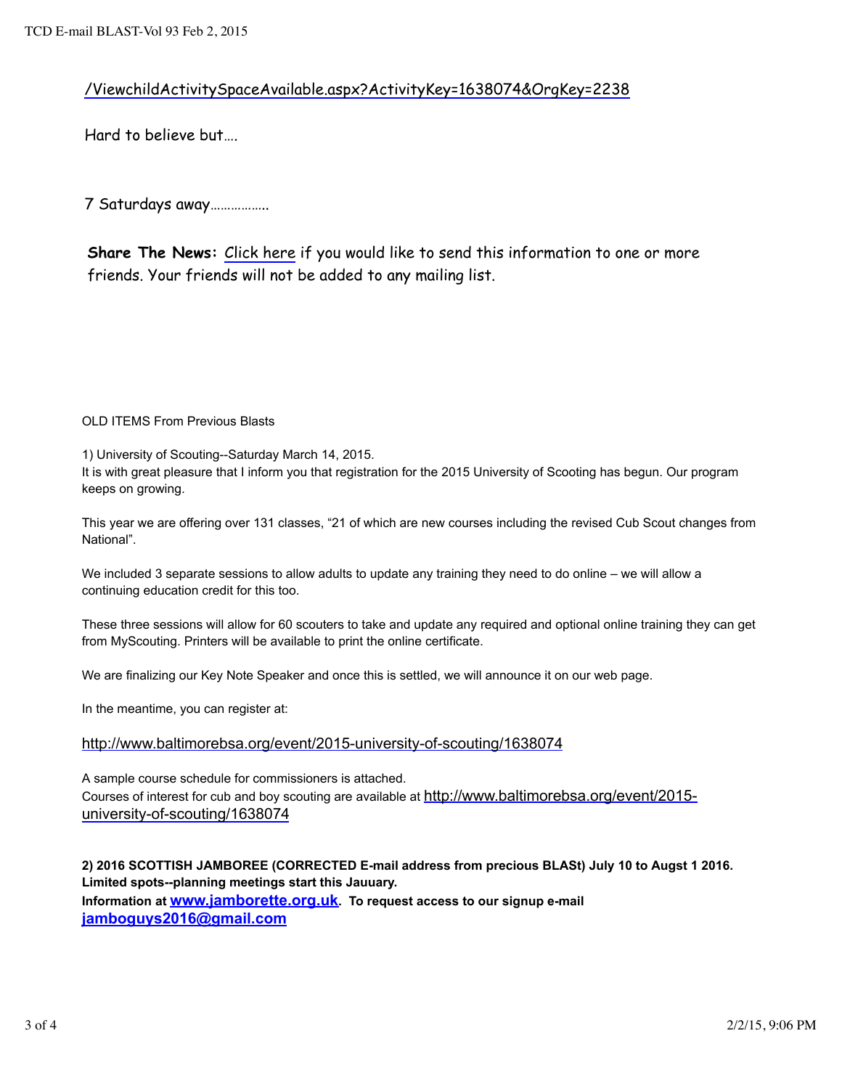#### /ViewchildActivitySpaceAvailable.aspx?ActivityKey=1638074&OrgKey=2238

Hard to believe but….

7 Saturdays away……………..

**Share The News:** Click here if you would like to send this information to one or more friends. Your friends will not be added to any mailing list.

OLD ITEMS From Previous Blasts

1) University of Scouting--Saturday March 14, 2015.

It is with great pleasure that I inform you that registration for the 2015 University of Scooting has begun. Our program keeps on growing.

This year we are offering over 131 classes, "21 of which are new courses including the revised Cub Scout changes from National".

We included 3 separate sessions to allow adults to update any training they need to do online – we will allow a continuing education credit for this too.

These three sessions will allow for 60 scouters to take and update any required and optional online training they can get from MyScouting. Printers will be available to print the online certificate.

We are finalizing our Key Note Speaker and once this is settled, we will announce it on our web page.

In the meantime, you can register at:

#### http://www.baltimorebsa.org/event/2015-university-of-scouting/1638074

A sample course schedule for commissioners is attached. Courses of interest for cub and boy scouting are available at http://www.baltimorebsa.org/event/2015 university-of-scouting/1638074

**2) 2016 SCOTTISH JAMBOREE (CORRECTED E-mail address from precious BLASt) July 10 to Augst 1 2016. Limited spots--planning meetings start this Jauuary. Information at www.jamborette.org.uk. To request access to our signup e-mail jamboguys2016@gmail.com**